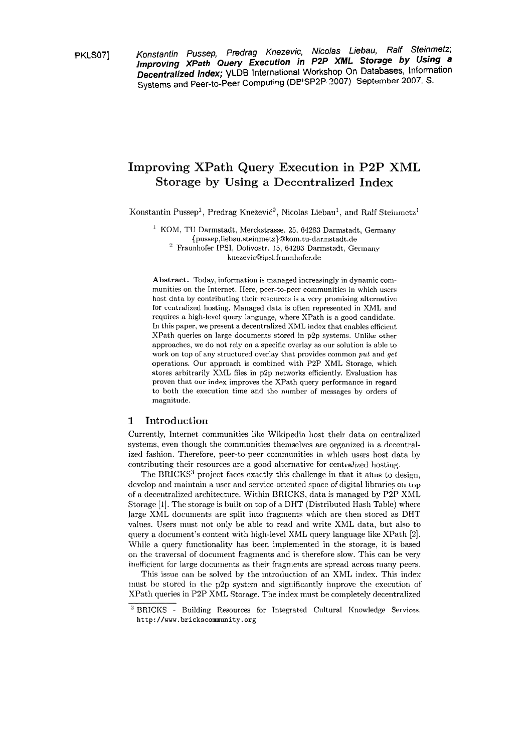PKLS071 Konstantin Pussep, Predrag Knezevic, Nicolas Liebau, Ralf Steinmetz; **lmproving XPath Query Execution in P2P XML Storage by Using a Decentralized Index;** YLDB International Workshop On Databases, Information Systems and Peer-to-Peer Computing **(DP1SP2P-2007)** September 2007. S.

# **Improving XPath Query Execution in P2P XML Storage by Using a Decentralized Index**

Konstantin Pussep<sup>1</sup>, Predrag Knežević<sup>2</sup>, Nicolas Liebau<sup>1</sup>, and Ralf Steinmetz<sup>1</sup>

<sup>1</sup> KOM, TU Darmstadt, Merckstrasse. 25, 64283 Darmstadt, Germany **{pussep,liebau,steinmetz)Qkom.tii-darinstadt.cIe**   $^2$  Fraunhofer IPSI, Dolivostr. 15, 64293 Darmstadt, Germany **knezevic@ipsi.fraunIiofer.de** 

Abstract. Today, information is managed increasingly in dynamic communities on the Internet. Here, peer-to-peer communities in which users host data by contributing their resources is a very promising alternative for centralized hosting. Managed data is often represented in XML and requires a high-level query language, where XPath is a good candidate. In this paper, we present a decentralized XML index that enables efficient XPath queries on large documents stored in p2p systems. Unlike other approaches, we do not rely on a specific overlay as our solution is able to work on top of any structured overlay that provides common  $put$  and  $get$ operations. Our approach is combined with P2P XML Storage, which stores arbitrarily XML files in p2p networks efficiently. Evaluation has proven that our index improves the XPath query performance in regard to both the execution time and the number of messages by orders of magnitude.

# **1 Introduction**

Currently, Internet communities like Wikipedia host their data on centralized systems, even though the communities themselves are organized in a decentralized fashion. Therefore, peer-to-peer communities in which users host data by contributing their resources are a good alternative for centralized hosting.

The BRICKS<sup>3</sup> project faces exactly this challenge in that it aims to design, develop and maintain a user and service-oriented space of digital libraries on top of a tleceiitralized architecture. Witliiil BRICKS, data is nianaged **hy** P2P XML Storage [1]. The storage is built on top of a DHT (Distributed Hash Table) where large XML documents are split into fragments which are then stored as DHT values. Users must not only be able to read and write XML data, but also to query a document's content with high-level XML query language like XPath [2]. While a query functionality has been implemented in the storage, it is based on the traversal of document fragments and is therefore slow. This can be very inefficient for large documents as their fragments are spread across many peers.

This issue can be solved by the introduction of an XML index. This index inust be stored in the p2p system and significantly improve the execution of XPatli queries in P2P XML Storage. The index must be cornpletely deceritralized

<sup>&</sup>lt;sup>3</sup> BRICKS - Building Resources for Integrated Cultural Knowledge Services, **http://www.brickscommunity.org**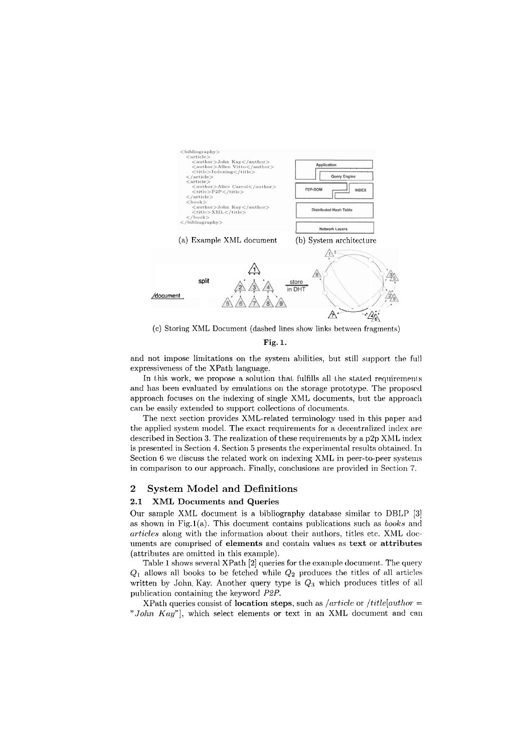

(c) Storing XML Document (dashed lines show links between fragments)

 $Fig. 1.$ 

and not impose limitations on the system abilities, but still support the full expressiveness of the XPath language.

In this work, we propose a solution that fulfills all the stated requirements and has been evaluated by emulations on the storage prototype. The proposed approach focuses on the indexing of single XML documents, but the approach can be easily extended to support collections of documents.

The next section provides XML-related terminology used in this paper and the applied system model. The exact requirements for a decentralized index are described in Section 3. The realization of these requirements by a p2p XML index is presented in Section 4. Section 5 presents the experimental results obtained. In Section 6 we discuss the related work on indexing XML in peer-to-peer systems in comparison to our approach. Finally, conclusions are provided in Section 7.

### $\overline{2}$ **System Model and Definitions**

#### $2.1$ **XML Documents and Queries**

Our sample XML document is a bibliography database similar to DBLP [3] as shown in Fig.1(a). This document contains publications such as *books* and articles along with the information about their authors, titles etc. XML documents are comprised of elements and contain values as text or attributes (attributes are omitted in this example).

Table 1 shows several XPath [2] queries for the example document. The query  $Q_1$  allows all books to be fetched while  $Q_2$  produces the titles of all articles written by John Kay. Another query type is  $Q_3$  which produces titles of all publication containing the keyword P2P.

XPath queries consist of location steps, such as *article* or *fittle* author = "John Kay"], which select elements or text in an XML document and can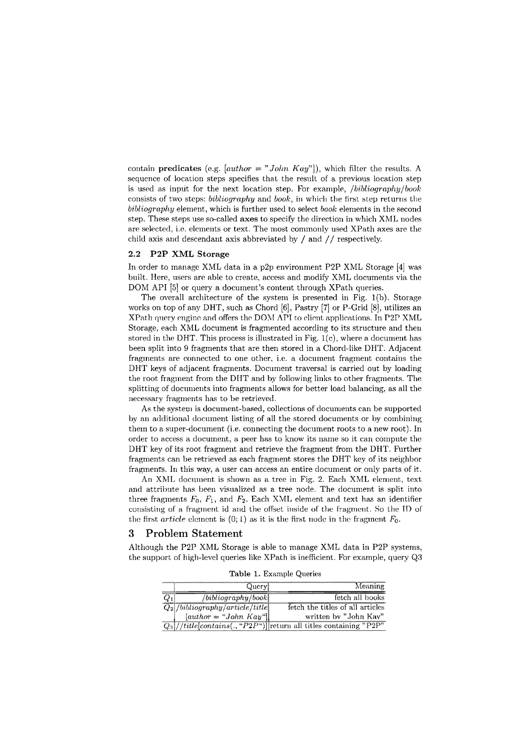contain **predicates** (e.g.  $[author = "John Kay"]$ ), which filter the results. A sequence of location steps specifies that the result of a previous location step is used as input for the next location step. For example,  $/bibliography/book$ consists of two steps: *bibliography* and *book*, in which the first step returns the bibliography element, which is further used to select book elements in the second step. These steps use so-called *axes* to specify the directiori iri which XML riodes are selected, i.e. elements or text. The most commonly used XPath axes are the child axis and descendant axis abbreviated by  $/$  and  $//$  respectively.

# **2.2 P2P XML** *Storage*

In order to manage XML data in a p2p environment P2P XML Storage [4] was built. Here, users are able to create, access and modify XML documents via the DOM API [5] or query a document's content through XPath queries.

The overall architecture of the system is presented in Fig. 1(b). Storage works on top of ariy DHT, such **as** Chord [6], Pastry [7] or P-Grid [8], utilizes an XPath query engine and offers the DOM API to client applications. In P2P XML Storage, each XML document is fragmented according to its structure and theri stored in the DHT. This process is illustrated in Fig.  $1(c)$ , where a document has been split into 9 fragments that are then stored in a Chord-like DHT. Adjacent fragments are connected to one other, i.e. a document fragment contains the DHT keys of adjacent fragments. Document traversal is carried out by loading the root fragment from the DHT and by following links to other fragments. The splitting of documents into fragments allows for better load balancing, as all the necessary fragments has to be retrieved.

As the system is document-based, collections of documents can be supported by an additional document listing of all the stored documents or by combining them to a super-document (i.e. connecting the document roots to a new root). In order to access a docurnerit, a peer has to kriow its riarrie so it can corripute the DHT key of its root fragment and retrieve the fragment from the DHT. Further fragments can be retrieved as each fragment stores the DHT key of its neighbor fragments. In this way, a user can access an entire document or only parts of it.

An XML document is shown as a tree in Fig. 2. Each XML element, text and attribute has been visualized as a tree node. The document is split into three fragments  $F_0$ ,  $F_1$ , and  $F_2$ . Each XML element and text has an identifier consisting of a fragment id and the offset inside of the fragment. So the ID of the first *article* element is  $(0; 1)$  as it is the first node in the fragment  $F_0$ .

## **3** Problem Statement

Although the P2P XML Storage is able to manage XML data in P2P systems, the support of high-level queries like XPath is inefficient. For example, query Q3

Table 1. Example Queries

|       | Query                                                      | Meaning                                                             |
|-------|------------------------------------------------------------|---------------------------------------------------------------------|
| $Q_1$ | $\left  \frac{\partial u}{\partial p} \right $             | fetch all books                                                     |
|       | $\overline{\left Q_{2}\right /bibliography/article/title}$ | fetch the titles of all articles                                    |
|       | $[author = "John Kay"]$                                    | written by "John Kay"                                               |
|       |                                                            | $Q_3//title[contains(., "P2P")]$ return all titles containing "P2P" |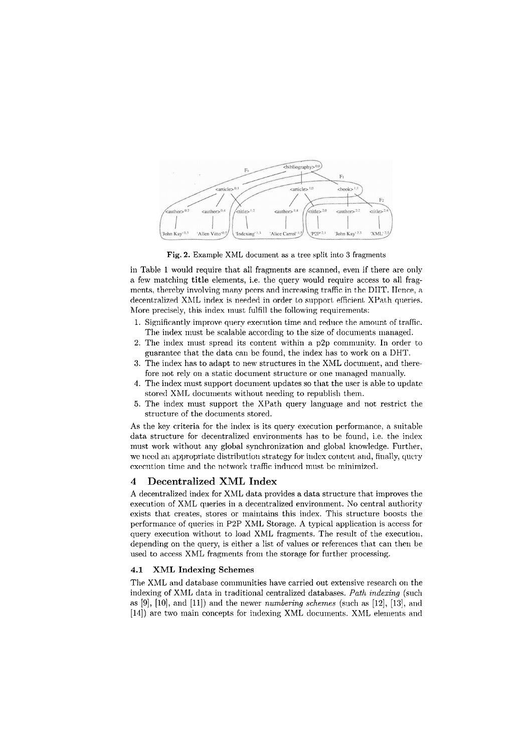

Fig. 2. Example XML document as a tree split into 3 fragments

in Table 1 would require that all fragments are scanned, even if there are only a few matching title elements, i.e. the query would require access to all fragments, thereby involving many peers and increasing traffic in the DHT. Hence, a decentralized XML index is needed in order to support efficient XPath queries. More precisely, this index must fulfill the following requirements:

- 1. Significantly improve query execution time and reduce the amount of traffic. The index must be scalable according to the size of documents managed.
- 2. The index must spread its content within a p2p community. In order to guarantee that the data can be found, the index has to work on a DHT.
- The index has to adapt to new structures in the XML document, and there- $\mathcal{R}$ fore not rely on a static document structure or one managed manually.
- 4. The index must support document updates so that the user is able to update stored XML documents without needing to republish them.
- 5. The index must support the XPath query language and not restrict the structure of the documents stored.

As the key criteria for the index is its query execution performance, a suitable data structure for decentralized environments has to be found, i.e. the index must work without any global synchronization and global knowledge. Further, we need an appropriate distribution strategy for index content and, finally, query execution time and the network traffic induced must be minimized.

### $\boldsymbol{4}$ Decentralized XML Index

A decentralized index for XML data provides a data structure that improves the execution of XML queries in a decentralized environment. No central authority exists that creates, stores or maintains this index. This structure boosts the performance of queries in P2P XML Storage. A typical application is access for query execution without to load XML fragments. The result of the execution, depending on the query, is either a list of values or references that can then be used to access XML fragments from the storage for further processing.

#### $4.1$ **XML Indexing Schemes**

The XML and database communities have carried out extensive research on the indexing of XML data in traditional centralized databases. Path indexing (such as [9], [10], and [11]) and the newer numbering schemes (such as [12], [13], and [14]) are two main concepts for indexing XML documents. XML elements and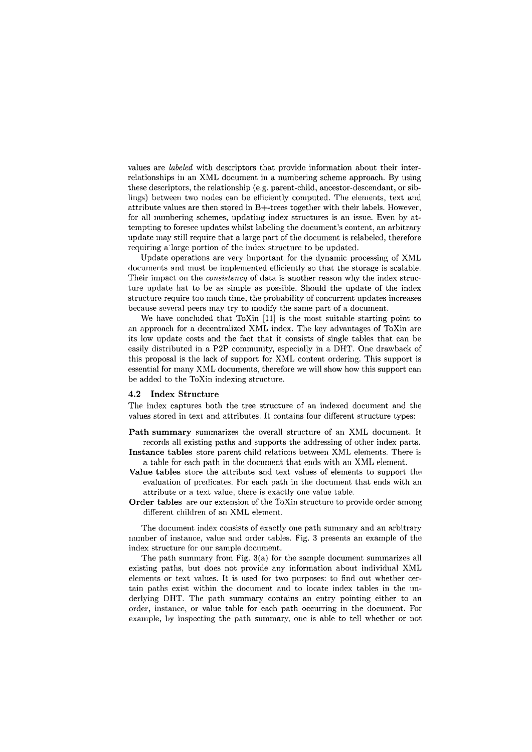values are labeled with descriptors that provide information about their interrelationships in an XML document in a numbering scheme approach. By using these descriptors, the relationship (e.g. parent-child, ancestor-descendant, or siblings) between two nodes can be efficiently computed. The elements, text and attribute values are then stored in B+-trees together with their labels. However, for all numbering schemes, updating index structures is an issue. Even by attempting to foresee updates whilst labeling the document's content, an arbitrary update may still require that a large part of the document is relabeled, therefore requiring a large portion of the index structure to be updated.

Update operations are very important for the dynamic processing of XML documents and must be implemented efficiently so that the storage is scalable. Their impact on the *consistency* of data is another reason why the index structure update hat to be as simple as possible. Should the update of the index structure require too much time, the probability of concurrent updates increases because several peers may try to modify the same part of a document.

We have concluded that ToXin [11] is the most suitable starting point to an approach for a decentralized XML index. The key advantages of ToXin are its low update costs and the fact that it consists of single tables that can be easily distributed in a P2P community, especially in a DHT. One drawback of this proposal is the lack of support for XML content ordering. This support is essential for many XML documents, therefore we will show how this support can be added to the ToXin indexing structure.

### 4.2 Index Structure

The index captures both the tree structure of an indexed document and the values stored in text and attributes. It contains four different structure types:

- Path summary summarizes the overall structure of an XML document. It records all existing paths and supports the addressing of other index parts.
- Instance tables store parent-child relations between XML elements. There is a table for each path in the document that ends with an XML element.
- Value tables store the attribute and text values of elements to support the evaluation of predicates. For each path in the document that ends with an attribute or a text value, there is exactly one value table.
- Order tables are our extension of the ToXin structure to provide order among different children of an XML element.

The document index consists of exactly one path summary and an arbitrary number of instance, value and order tables. Fig. 3 presents an example of the index structure for our sample document.

The path summary from Fig.  $3(a)$  for the sample document summarizes all existing paths, but does not provide any information about individual XML elements or text values. It is used for two purposes: to find out whether certain paths exist within the document and to locate index tables in the underlying DHT. The path summary contains an entry pointing either to an order, instance, or value table for each path occurring in the document. For example, by inspecting the path summary, one is able to tell whether or not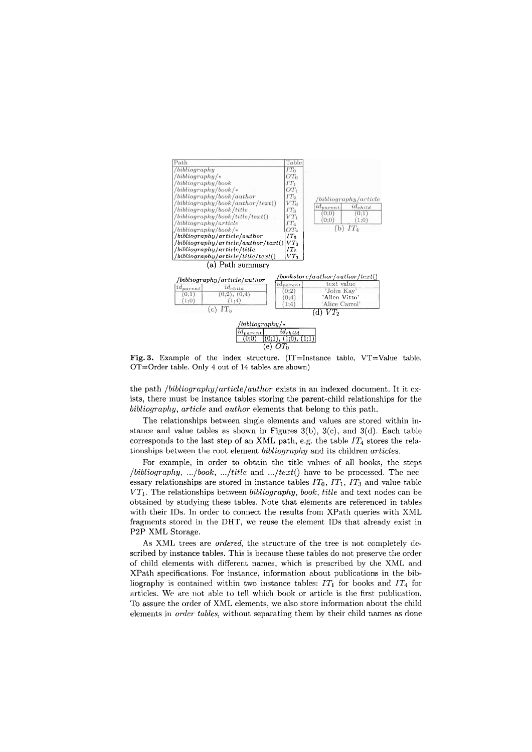

Fig. 3. Example of the index structure. (IT=Instance table, VT=Value table, OT=Order table. Only 4 out of 14 tables are shown)

the path */bibliography/article/author* exists in an indexed document. It it exists, there must be instance tables storing the parent-child relationships for the bibliography, article and author elements that belong to this path.

The relationships between single elements and values are stored within instance and value tables as shown in Figures 3(b), 3(c), and 3(d). Each table corresponds to the last step of an XML path, e.g. the table  $IT_4$  stores the relationships between the root element bibliography and its children articles.

For example, in order to obtain the title values of all books, the steps /bibliography, .../book, .../title and .../text() have to be processed. The necessary relationships are stored in instance tables  $IT_0$ ,  $IT_1$ ,  $IT_3$  and value table  $VT_1$ . The relationships between *bibliography*, *book*, *title* and text nodes can be obtained by studying these tables. Note that elements are referenced in tables with their IDs. In order to connect the results from XPath queries with XML fragments stored in the DHT, we reuse the element IDs that already exist in P2P XML Storage.

As XML trees are *ordered*, the structure of the tree is not completely described by instance tables. This is because these tables do not preserve the order of child elements with different names, which is prescribed by the XML and XPath specifications. For instance, information about publications in the bibliography is contained within two instance tables:  $IT_1$  for books and  $IT_4$  for articles. We are not able to tell which book or article is the first publication. To assure the order of XML elements, we also store information about the child elements in *order tables*, without separating them by their child names as done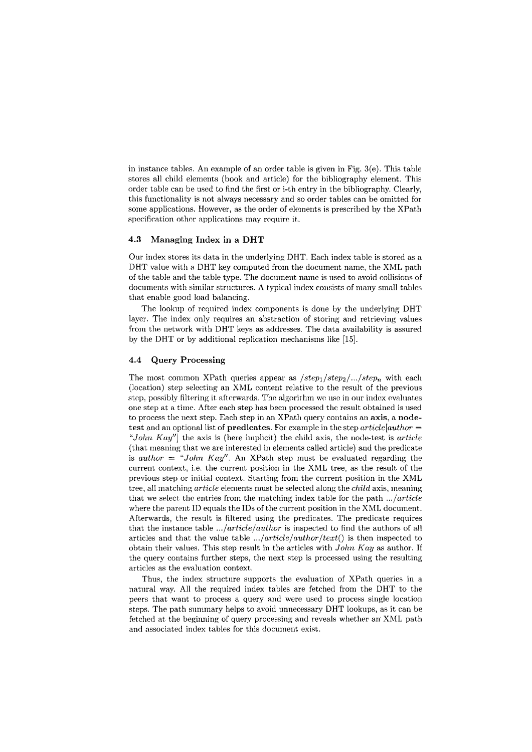in instance tables. An example of an order table is given in Fig.  $3(e)$ . This table stores all child elements (book and article) for the bibliography element. This order table can be used to find the first or i-th entry in the bibliography. Clearly, this functionality is not always necessary and so order tables can be omitted for some applications. However, as the order of elements is prescribed by the XPath specification other applications may require it.

#### 4.3 Managing Index in a DHT

Our index stores its data in the underlying DHT. Each index table is stored as a DHT value with a DHT key computed from the document name, the XML path of the table and the table type. The document name is used to avoid collisions of documents with similar structures. A typical index consists of many small tables that enable good load balancing.

The lookup of required index components is done by the underlying DHT layer. The index only requires an abstraction of storing and retrieving values from the network with DHT keys as addresses. The data availability is assured by the DHT or by additional replication mechanisms like [15].

#### $4.4$ **Query Processing**

The most common XPath queries appear as  $/step_1/step_2/.../step_n$  with each (location) step selecting an XML content relative to the result of the previous step, possibly filtering it afterwards. The algorithm we use in our index evaluates one step at a time. After each step has been processed the result obtained is used to process the next step. Each step in an XPath query contains an axis, a nodetest and an optional list of **predicates**. For example in the step  $article |author =$ "John  $Kay''$  the axis is (here implicit) the child axis, the node-test is article (that meaning that we are interested in elements called article) and the predicate is *author* = "John Kay". An XPath step must be evaluated regarding the current context, i.e. the current position in the XML tree, as the result of the previous step or initial context. Starting from the current position in the XML tree, all matching *article* elements must be selected along the *child* axis, meaning that we select the entries from the matching index table for the path .../article where the parent ID equals the IDs of the current position in the XML document. Afterwards, the result is filtered using the predicates. The predicate requires that the instance table .../article/author is inspected to find the authors of all articles and that the value table ... /*article*/*author/text*() is then inspected to obtain their values. This step result in the articles with  $John$  Kay as author. If the query contains further steps, the next step is processed using the resulting articles as the evaluation context.

Thus, the index structure supports the evaluation of XPath queries in a natural way. All the required index tables are fetched from the DHT to the peers that want to process a query and were used to process single location steps. The path summary helps to avoid unnecessary DHT lookups, as it can be fetched at the beginning of query processing and reveals whether an XML path and associated index tables for this document exist.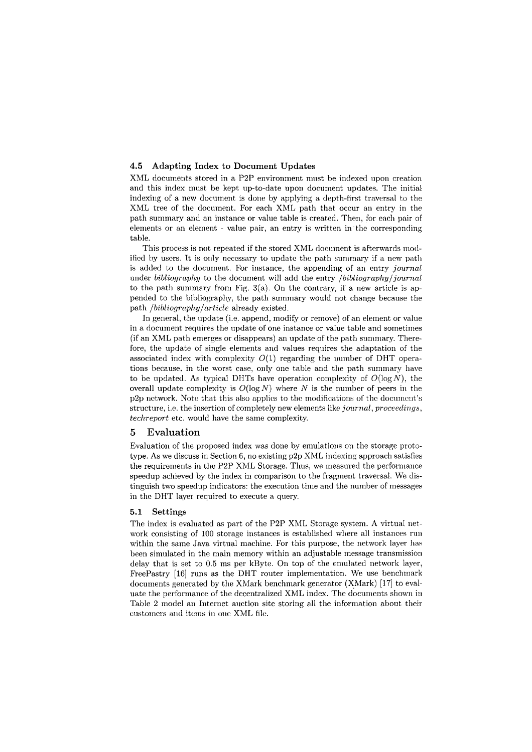#### 4.5 Adapting Index to Document Updates

XML documents stored in a P2P environment must be indexed upon creation and this index must be kept up-to-date upon document updates. The initial indexing of a new document is done by applying a depth-first traversal to the XML tree of the document. For each XML path that occur an entry in the path summary and an instance or value table is created. Then, for each pair of elements or an element - value pair, an entry is written in the corresponding table.

This process is not repeated if the stored XML document is afterwards modified by users. It is only necessary to update the path summary if a new path is added to the document. For instance, the appending of an entry journal under bibliography to the document will add the entry /bibliography/journal to the path summary from Fig. 3(a). On the contrary, if a new article is appended to the bibliography, the path summary would not change because the path /bibliography/article already existed.

In general, the update (i.e. append, modify or remove) of an element or value in a document requires the update of one instance or value table and sometimes (if an XML path emerges or disappears) an update of the path summary. Therefore, the update of single elements and values requires the adaptation of the associated index with complexity  $O(1)$  regarding the number of DHT operations because, in the worst case, only one table and the path summary have to be updated. As typical DHTs have operation complexity of  $O(\log N)$ , the overall update complexity is  $O(\log N)$  where N is the number of peers in the p2p network. Note that this also applies to the modifications of the document's structure, i.e. the insertion of completely new elements like journal, proceedings, *techreport* etc. would have the same complexity.

#### Evaluation 5

Evaluation of the proposed index was done by emulations on the storage prototype. As we discuss in Section 6, no existing  $p2p$  XML indexing approach satisfies the requirements in the P2P XML Storage. Thus, we measured the performance speedup achieved by the index in comparison to the fragment traversal. We distinguish two speedup indicators: the execution time and the number of messages in the DHT layer required to execute a query.

#### $5.1$ Settings

The index is evaluated as part of the P2P XML Storage system. A virtual network consisting of 100 storage instances is established where all instances run within the same Java virtual machine. For this purpose, the network layer has been simulated in the main memory within an adjustable message transmission delay that is set to 0.5 ms per kByte. On top of the emulated network layer, FreePastry [16] runs as the DHT router implementation. We use benchmark documents generated by the XMark benchmark generator (XMark) [17] to evaluate the performance of the decentralized XML index. The documents shown in Table 2 model an Internet auction site storing all the information about their customers and items in one XML file.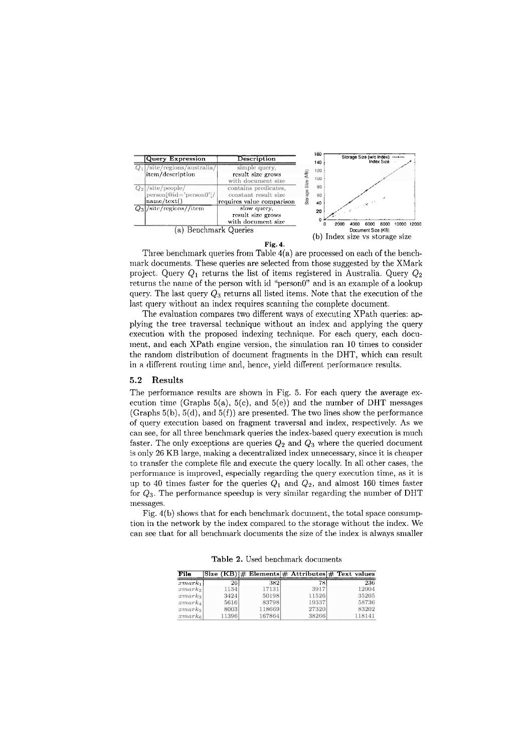



Three benchmark queries from Table 4(a) are processed on each of the benchmark documents. These queries are selected from those suggested by the XMark project. Query  $Q_1$  returns the list of items registered in Australia. Query  $Q_2$ returns the name of the person with id "person0" and is an example of a lookup query. The last query  $Q_3$  returns all listed items. Note that the execution of the last query without an index requires scanning the complete document.

The evaluation compares two different ways of executing XPath queries: applying the tree traversal technique without an index and applying the query execution with the proposed indexing technique. For each query, each document, and each XPath engine version, the simulation ran 10 times to consider the random distribution of document fragments in the DHT, which can result in a different routing time and, hence, yield different performance results.

#### $5.2$ Results

The performance results are shown in Fig. 5. For each query the average execution time (Graphs  $5(a)$ ,  $5(c)$ , and  $5(e)$ ) and the number of DHT messages (Graphs  $5(b)$ ,  $5(d)$ , and  $5(f)$ ) are presented. The two lines show the performance of query execution based on fragment traversal and index, respectively. As we can see, for all three benchmark queries the index-based query execution is much faster. The only exceptions are queries  $Q_2$  and  $Q_3$  where the queried document is only 26 KB large, making a decentralized index unnecessary, since it is cheaper to transfer the complete file and execute the query locally. In all other cases, the performance is improved, especially regarding the query execution time, as it is up to 40 times faster for the queries  $Q_1$  and  $Q_2$ , and almost 160 times faster for  $Q_3$ . The performance speedup is very similar regarding the number of DHT messages.

Fig.  $4(b)$  shows that for each benchmark document, the total space consumption in the network by the index compared to the storage without the index. We can see that for all benchmark documents the size of the index is always smaller

Table 2. Used benchmark documents

| File               |       | $ \text{Size (KB)} $ # Elements $ \#$ Attributes $ \#$ Text values |       |        |
|--------------------|-------|--------------------------------------------------------------------|-------|--------|
| $xmark_1$          | 26    | 382                                                                | 78    | 236    |
| xmark <sub>2</sub> | 1134  | 17131                                                              | 3917  | 12004  |
| xmark <sub>3</sub> | 3424  | 50198                                                              | 11526 | 35205  |
| xmark <sub>4</sub> | 5616  | 83798                                                              | 19337 | 58736  |
| xmark <sub>5</sub> | 8003  | 118669                                                             | 27320 | 83202  |
| mark <sub>6</sub>  | 11396 | 167864                                                             | 38266 | 118141 |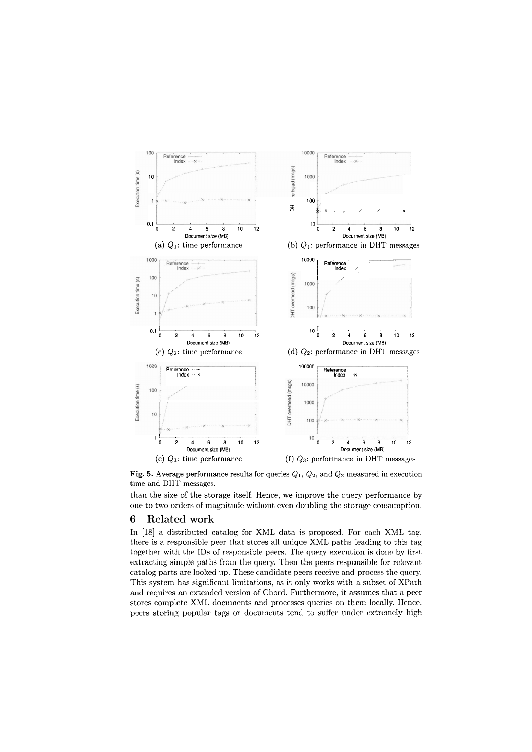

Fig. 5. Average performance results for queries  $Q_1$ ,  $Q_2$ , and  $Q_3$  measured in execution time and DHT messages.

than the size of the storage itself. Hence, we improve the query performance by one to two orders of magnitude without even doubling the storage consumption.

### $\boldsymbol{6}$ Related work

In [18] a distributed catalog for XML data is proposed. For each XML tag, there is a responsible peer that stores all unique XML paths leading to this tag together with the IDs of responsible peers. The query execution is done by first extracting simple paths from the query. Then the peers responsible for relevant catalog parts are looked up. These candidate peers receive and process the query. This system has significant limitations, as it only works with a subset of XPath and requires an extended version of Chord. Furthermore, it assumes that a peer stores complete XML documents and processes queries on them locally. Hence, peers storing popular tags or documents tend to suffer under extremely high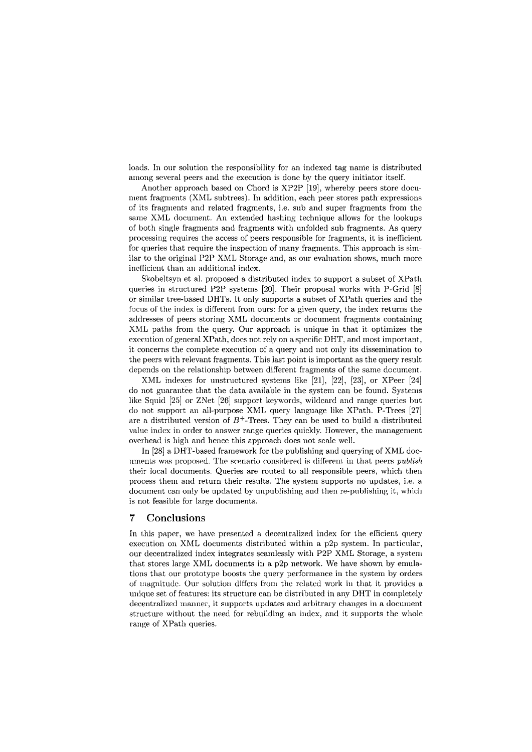loads. In our solution the responsibility for an indexed tag name is distributed among several peers and the execution is done by the query initiator itself.

Another approach based on Chord is XP2P [19], whereby peers store document fragments (XML subtrees). In addition, each peer stores path expressions of its fragments and related fragments, i.e. sub and super fragments from the same XML document. An extended hashing technique allows for the lookups of both single fragments and fragments with unfolded sub fragments. As query processing requires the access of peers responsible for fragments, it is inefficient for queries that require the inspection of many fragments. This approach is similar to the original P2P XML Storage and, as our evaluation shows, much more inefficient than an additional index.

Skobeltsyn et al. proposed a distributed index to support a subset of XPath queries in structured P2P systems [20]. Their proposal works with P-Grid [8] or similar tree-based DHTs. It only supports a subset of XPath queries and the focus of the index is different from ours: for a given query, the index returns the addresses of peers storing XML documents or document fragments containing XML paths from the query. Our approach is unique in that it optimizes the execution of general XPath, does not rely on a specific DHT, and most important, it concerns the complete execution of a query and not only its dissemination to the peers with relevant fragments. This last point is important as the query result depends on the relationship between different fragments of the same document.

XML indexes for unstructured systems like [21], [22], [23], or XPeer [24] do not guarantee that the data available in the system can be found. Systems like Squid [25] or ZNet [26] support keywords, wildcard and range queries but do not support an all-purpose XML query language like XPath. P-Trees [27] are a distributed version of  $B^+$ -Trees. They can be used to build a distributed value index in order to answer range queries quickly. However, the management overhead is high and hence this approach does not scale well.

In [28] a DHT-based framework for the publishing and querying of XML documents was proposed. The scenario considered is different in that peers *publish* their local documents. Queries are routed to all responsible peers, which then process them and return their results. The system supports no updates, i.e. a document can only be updated by unpublishing and then re-publishing it, which is not feasible for large documents.

### $\overline{7}$ Conclusions

In this paper, we have presented a decentralized index for the efficient query execution on XML documents distributed within a p2p system. In particular, our decentralized index integrates seamlessly with P2P XML Storage, a system that stores large XML documents in a p2p network. We have shown by emulations that our prototype boosts the query performance in the system by orders of magnitude. Our solution differs from the related work in that it provides a unique set of features: its structure can be distributed in any DHT in completely decentralized manner, it supports updates and arbitrary changes in a document structure without the need for rebuilding an index, and it supports the whole range of XPath queries.